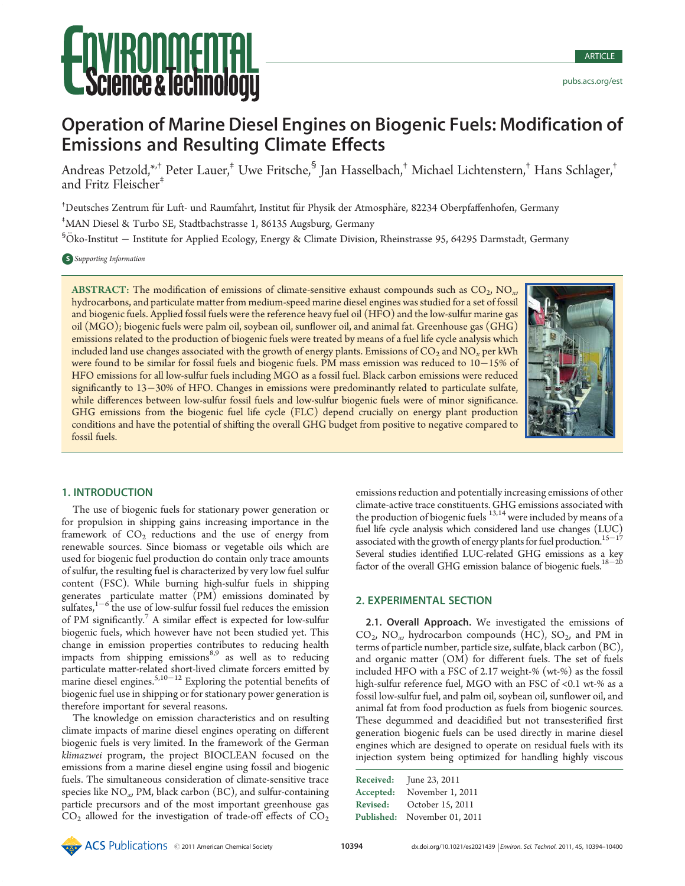# Science & lechnology

# Operation of Marine Diesel Engines on Biogenic Fuels: Modification of Emissions and Resulting Climate Effects

Andreas Petzold,\*<sup>,†</sup> Peter Lauer,<sup>†</sup> Uwe Fritsche,<sup>§</sup> Jan Hasselbach,<sup>†</sup> Michael Lichtenstern,<sup>†</sup> Hans Schlager,<sup>†</sup> and Fritz Fleischer<sup>‡</sup>

<sup>†</sup>Deutsches Zentrum für Luft- und Raumfahrt, Institut für Physik der Atmosphäre, 82234 Oberpfaffenhofen, Germany ‡ MAN Diesel & Turbo SE, Stadtbachstrasse 1, 86135 Augsburg, Germany

 ${}^{5}$ Öko-Institut  $-$  Institute for Applied Ecology, Energy & Climate Division, Rheinstrasse 95, 64295 Darmstadt, Germany

#### S Supporting Information

ABSTRACT: The modification of emissions of climate-sensitive exhaust compounds such as  $CO<sub>2</sub>$ , NO<sub>x</sub>, hydrocarbons, and particulate matter from medium-speed marine diesel engines was studied for a set of fossil and biogenic fuels. Applied fossil fuels were the reference heavy fuel oil (HFO) and the low-sulfur marine gas oil (MGO); biogenic fuels were palm oil, soybean oil, sunflower oil, and animal fat. Greenhouse gas (GHG) emissions related to the production of biogenic fuels were treated by means of a fuel life cycle analysis which included land use changes associated with the growth of energy plants. Emissions of  $CO<sub>2</sub>$  and  $NO<sub>x</sub>$  per kWh were found to be similar for fossil fuels and biogenic fuels. PM mass emission was reduced to 10-15% of HFO emissions for all low-sulfur fuels including MGO as a fossil fuel. Black carbon emissions were reduced significantly to 13-30% of HFO. Changes in emissions were predominantly related to particulate sulfate, while differences between low-sulfur fossil fuels and low-sulfur biogenic fuels were of minor significance. GHG emissions from the biogenic fuel life cycle (FLC) depend crucially on energy plant production conditions and have the potential of shifting the overall GHG budget from positive to negative compared to fossil fuels.



# 1. INTRODUCTION

The use of biogenic fuels for stationary power generation or for propulsion in shipping gains increasing importance in the framework of  $CO<sub>2</sub>$  reductions and the use of energy from renewable sources. Since biomass or vegetable oils which are used for biogenic fuel production do contain only trace amounts of sulfur, the resulting fuel is characterized by very low fuel sulfur content (FSC). While burning high-sulfur fuels in shipping generates particulate matter (PM) emissions dominated by sulfates, $1-6$  the use of low-sulfur fossil fuel reduces the emission of PM significantly.<sup>7</sup> A similar effect is expected for low-sulfur biogenic fuels, which however have not been studied yet. This change in emission properties contributes to reducing health impacts from shipping emissions $8,9$  as well as to reducing particulate matter-related short-lived climate forcers emitted by marine diesel engines.<sup>5,10–12</sup> Exploring the potential benefits of biogenic fuel use in shipping or for stationary power generation is therefore important for several reasons.

The knowledge on emission characteristics and on resulting climate impacts of marine diesel engines operating on different biogenic fuels is very limited. In the framework of the German klimazwei program, the project BIOCLEAN focused on the emissions from a marine diesel engine using fossil and biogenic fuels. The simultaneous consideration of climate-sensitive trace species like  $NO_{xy}$  PM, black carbon (BC), and sulfur-containing particle precursors and of the most important greenhouse gas  $CO<sub>2</sub>$  allowed for the investigation of trade-off effects of  $CO<sub>2</sub>$ 

emissions reduction and potentially increasing emissions of other climate-active trace constituents. GHG emissions associated with the production of biogenic fuels  $13,14$  were included by means of a fuel life cycle analysis which considered land use changes (LUC) associated with the growth of energy plants for fuel production.  $^{15-17}$ Several studies identified LUC-related GHG emissions as a key factor of the overall GHG emission balance of biogenic fuels. $^{18-20}$ 

## 2. EXPERIMENTAL SECTION

2.1. Overall Approach. We investigated the emissions of  $CO_{2}$ , NO<sub>x</sub>, hydrocarbon compounds (HC), SO<sub>2</sub>, and PM in terms of particle number, particle size, sulfate, black carbon (BC), and organic matter (OM) for different fuels. The set of fuels included HFO with a FSC of 2.17 weight-% (wt-%) as the fossil high-sulfur reference fuel, MGO with an FSC of <0.1 wt-% as a fossil low-sulfur fuel, and palm oil, soybean oil, sunflower oil, and animal fat from food production as fuels from biogenic sources. These degummed and deacidified but not transesterified first generation biogenic fuels can be used directly in marine diesel engines which are designed to operate on residual fuels with its injection system being optimized for handling highly viscous

| Received:       | June 23, 2011     |
|-----------------|-------------------|
| Accepted:       | November 1, 2011  |
| <b>Revised:</b> | October 15, 2011  |
| Published:      | November 01, 2011 |
|                 |                   |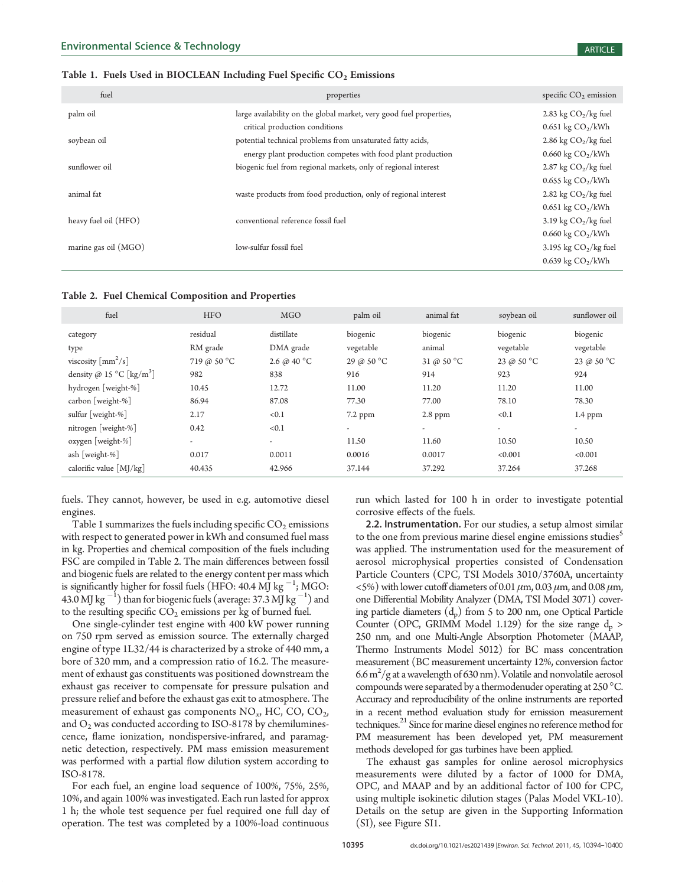#### Table 1. Fuels Used in BIOCLEAN Including Fuel Specific  $CO<sub>2</sub>$  Emissions

| fuel                 | properties                                                          | specific $CO2$ emission             |
|----------------------|---------------------------------------------------------------------|-------------------------------------|
| palm oil             | large availability on the global market, very good fuel properties, | 2.83 kg $CO2/kg$ fuel               |
|                      | critical production conditions                                      | $0.651 \text{ kg CO}_2/\text{kWh}$  |
| soybean oil          | potential technical problems from unsaturated fatty acids,          | 2.86 kg $CO2/kg$ fuel               |
|                      | energy plant production competes with food plant production         | $0.660 \text{ kg } CO_2/\text{kWh}$ |
| sunflower oil        | biogenic fuel from regional markets, only of regional interest      | 2.87 kg $CO2/kg$ fuel               |
|                      |                                                                     | $0.655$ kg $CO2/kWh$                |
| animal fat           | waste products from food production, only of regional interest      | 2.82 kg $CO2/kg$ fuel               |
|                      |                                                                     | $0.651 \text{ kg } CO_2/\text{kWh}$ |
| heavy fuel oil (HFO) | conventional reference fossil fuel                                  | 3.19 kg $CO2/kg$ fuel               |
|                      |                                                                     | $0.660 \text{ kg } CO_2/\text{kWh}$ |
| marine gas oil (MGO) | low-sulfur fossil fuel                                              | 3.195 kg $CO2/kg$ fuel              |
|                      |                                                                     | $0.639$ kg $CO2/kWh$                |

| fuel                                           | <b>HFO</b>               | <b>MGO</b>              | palm oil                 | animal fat           | soybean oil           | sunflower oil            |
|------------------------------------------------|--------------------------|-------------------------|--------------------------|----------------------|-----------------------|--------------------------|
| category<br>type                               | residual<br>RM grade     | distillate<br>DMA grade | biogenic<br>vegetable    | biogenic<br>animal   | biogenic<br>vegetable | biogenic<br>vegetable    |
| viscosity $\lceil$ mm <sup>2</sup> /s $\rceil$ | 719 @ 50 °C              | 2.6 @ 40 °C             | 29 @ 50 °C               | 31 @ 50 $^{\circ}$ C | 23 @ 50 $^{\circ}$ C  | 23 @ 50 $^{\circ}$ C     |
| density @ 15 °C [kg/m <sup>3</sup> ]           | 982                      | 838                     | 916                      | 914                  | 923                   | 924                      |
| hydrogen [weight-%]                            | 10.45                    | 12.72                   | 11.00                    | 11.20                | 11.20                 | 11.00                    |
| carbon [weight-%]                              | 86.94                    | 87.08                   | 77.30                    | 77.00                | 78.10                 | 78.30                    |
| sulfur [weight-%]                              | 2.17                     | < 0.1                   | $7.2$ ppm                | $2.8$ ppm            | < 0.1                 | $1.4$ ppm                |
| nitrogen $[weight-%]$                          | 0.42                     | < 0.1                   | $\overline{\phantom{a}}$ | $\sim$               | $\sim$                | $\overline{\phantom{a}}$ |
| oxygen [weight-%]                              | $\overline{\phantom{a}}$ | $\overline{a}$          | 11.50                    | 11.60                | 10.50                 | 10.50                    |
| ash [weight-%]                                 | 0.017                    | 0.0011                  | 0.0016                   | 0.0017               | < 0.001               | < 0.001                  |
| calorific value $[M]/kg$                       | 40.435                   | 42.966                  | 37.144                   | 37.292               | 37.264                | 37.268                   |

fuels. They cannot, however, be used in e.g. automotive diesel engines.

Table 1 summarizes the fuels including specific  $CO<sub>2</sub>$  emissions with respect to generated power in kWh and consumed fuel mass in kg. Properties and chemical composition of the fuels including FSC are compiled in Table 2. The main differences between fossil and biogenic fuels are related to the energy content per mass which is significantly higher for fossil fuels (HFO: 40.4 MJ kg  $^{-1}$ ; MGO: 43.0 MJ kg  $^{-1}$ ) than for biogenic fuels (average: 37.3 MJ kg  $^{-1}$ ) and to the resulting specific  $CO<sub>2</sub>$  emissions per kg of burned fuel.

One single-cylinder test engine with 400 kW power running on 750 rpm served as emission source. The externally charged engine of type 1L32/44 is characterized by a stroke of 440 mm, a bore of 320 mm, and a compression ratio of 16.2. The measurement of exhaust gas constituents was positioned downstream the exhaust gas receiver to compensate for pressure pulsation and pressure relief and before the exhaust gas exit to atmosphere. The measurement of exhaust gas components  $NO_{xy}$  HC, CO, CO<sub>2</sub>, and  $O_2$  was conducted according to ISO-8178 by chemiluminescence, flame ionization, nondispersive-infrared, and paramagnetic detection, respectively. PM mass emission measurement was performed with a partial flow dilution system according to ISO-8178.

For each fuel, an engine load sequence of 100%, 75%, 25%, 10%, and again 100% was investigated. Each run lasted for approx 1 h; the whole test sequence per fuel required one full day of operation. The test was completed by a 100%-load continuous

run which lasted for 100 h in order to investigate potential corrosive effects of the fuels.

2.2. Instrumentation. For our studies, a setup almost similar to the one from previous marine diesel engine emissions studies<sup>5</sup> was applied. The instrumentation used for the measurement of aerosol microphysical properties consisted of Condensation Particle Counters (CPC, TSI Models 3010/3760A, uncertainty  $\langle 5\% \rangle$  with lower cutoff diameters of 0.01  $\mu$ m, 0.03  $\mu$ m, and 0.08  $\mu$ m, one Differential Mobility Analyzer (DMA, TSI Model 3071) covering particle diameters  $(d_n)$  from 5 to 200 nm, one Optical Particle Counter (OPC, GRIMM Model 1.129) for the size range  $d_p >$ 250 nm, and one Multi-Angle Absorption Photometer (MAAP, Thermo Instruments Model 5012) for BC mass concentration measurement (BC measurement uncertainty 12%, conversion factor  $6.6\,\mathrm{m}^2/\mathrm{g}$  at a wavelength of 630 nm). Volatile and nonvolatile aerosol compounds were separated by a thermodenuder operating at 250  $^{\circ}$ C. Accuracy and reproducibility of the online instruments are reported in a recent method evaluation study for emission measurement techniques.<sup>21</sup> Since for marine diesel engines no reference method for PM measurement has been developed yet, PM measurement methods developed for gas turbines have been applied.

The exhaust gas samples for online aerosol microphysics measurements were diluted by a factor of 1000 for DMA, OPC, and MAAP and by an additional factor of 100 for CPC, using multiple isokinetic dilution stages (Palas Model VKL-10). Details on the setup are given in the Supporting Information (SI), see Figure SI1.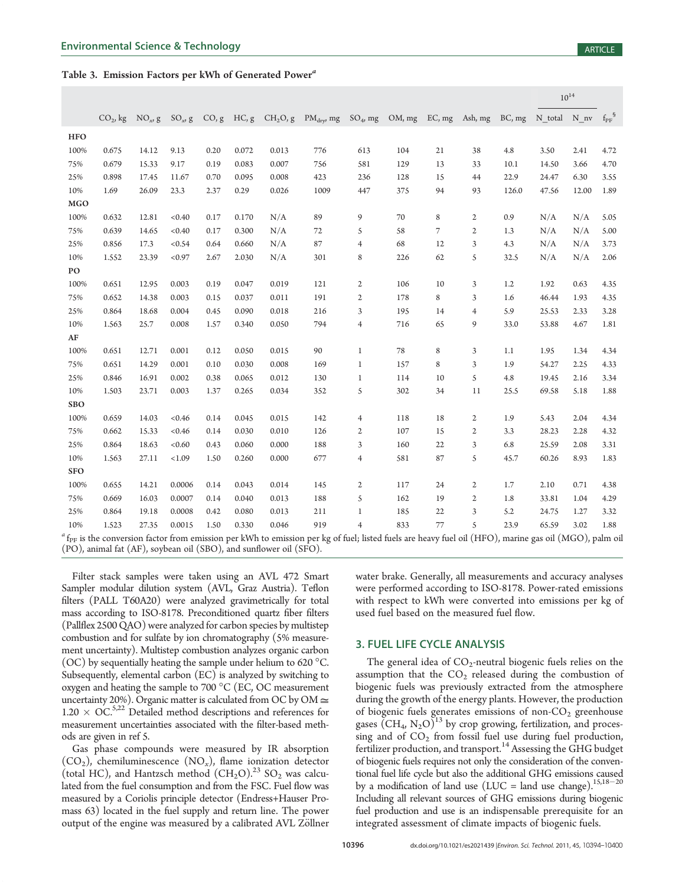#### Table 3. Emission Factors per kWh of Generated Power<sup>a</sup>

|            |            |            |            |      |                    |                                                                    |                                                                                                                                                                            |                |        |    |                |        | $10^{14}$    |       |            |  |  |
|------------|------------|------------|------------|------|--------------------|--------------------------------------------------------------------|----------------------------------------------------------------------------------------------------------------------------------------------------------------------------|----------------|--------|----|----------------|--------|--------------|-------|------------|--|--|
|            | $CO2$ , kg | $NO_{x}$ g | $SO_{x}$ g |      | $CO$ , $g$ HC, $g$ |                                                                    | $CH2O$ , g $PMdrv$ , mg                                                                                                                                                    | $SO_4$ , mg    | OM, mg |    | EC, mg Ash, mg | BC, mg | N total N nv |       | $f_{PF}^S$ |  |  |
| <b>HFO</b> |            |            |            |      |                    |                                                                    |                                                                                                                                                                            |                |        |    |                |        |              |       |            |  |  |
| 100%       | 0.675      | 14.12      | 9.13       | 0.20 | 0.072              | 0.013                                                              | 776                                                                                                                                                                        | 613            | 104    | 21 | 38             | 4.8    | 3.50         | 2.41  | 4.72       |  |  |
| 75%        | 0.679      | 15.33      | 9.17       | 0.19 | 0.083              | 0.007                                                              | 756                                                                                                                                                                        | 581            | 129    | 13 | 33             | 10.1   | 14.50        | 3.66  | 4.70       |  |  |
| 25%        | 0.898      | 17.45      | 11.67      | 0.70 | 0.095              | 0.008                                                              | 423                                                                                                                                                                        | 236            | 128    | 15 | 44             | 22.9   | 24.47        | 6.30  | 3.55       |  |  |
| 10%        | 1.69       | 26.09      | 23.3       | 2.37 | 0.29               | 0.026                                                              | 1009                                                                                                                                                                       | 447            | 375    | 94 | 93             | 126.0  | 47.56        | 12.00 | 1.89       |  |  |
| <b>MGO</b> |            |            |            |      |                    |                                                                    |                                                                                                                                                                            |                |        |    |                |        |              |       |            |  |  |
| 100%       | 0.632      | 12.81      | < 0.40     | 0.17 | 0.170              | N/A                                                                | 89                                                                                                                                                                         | 9              | 70     | 8  | 2              | 0.9    | N/A          | N/A   | 5.05       |  |  |
| 75%        | 0.639      | 14.65      | < 0.40     | 0.17 | 0.300              | N/A                                                                | 72                                                                                                                                                                         | 5              | 58     | 7  | $\mathfrak{2}$ | 1.3    | N/A          | N/A   | 5.00       |  |  |
| 25%        | 0.856      | 17.3       | < 0.54     | 0.64 | 0.660              | N/A                                                                | 87                                                                                                                                                                         | $\overline{4}$ | 68     | 12 | 3              | 4.3    | N/A          | N/A   | 3.73       |  |  |
| 10%        | 1.552      | 23.39      | < 0.97     | 2.67 | 2.030              | N/A                                                                | 301                                                                                                                                                                        | 8              | 226    | 62 | 5              | 32.5   | N/A          | N/A   | 2.06       |  |  |
| PO         |            |            |            |      |                    |                                                                    |                                                                                                                                                                            |                |        |    |                |        |              |       |            |  |  |
| 100%       | 0.651      | 12.95      | 0.003      | 0.19 | 0.047              | 0.019                                                              | 121                                                                                                                                                                        | 2              | 106    | 10 | 3              | 1.2    | 1.92         | 0.63  | 4.35       |  |  |
| 75%        | 0.652      | 14.38      | 0.003      | 0.15 | 0.037              | 0.011                                                              | 191                                                                                                                                                                        | 2              | 178    | 8  | 3              | 1.6    | 46.44        | 1.93  | 4.35       |  |  |
| 25%        | 0.864      | 18.68      | 0.004      | 0.45 | 0.090              | 0.018                                                              | 216                                                                                                                                                                        | 3              | 195    | 14 | $\overline{4}$ | 5.9    | 25.53        | 2.33  | 3.28       |  |  |
| 10%        | 1.563      | 25.7       | 0.008      | 1.57 | 0.340              | 0.050                                                              | 794                                                                                                                                                                        | $\overline{4}$ | 716    | 65 | 9              | 33.0   | 53.88        | 4.67  | 1.81       |  |  |
| $\bf AF$   |            |            |            |      |                    |                                                                    |                                                                                                                                                                            |                |        |    |                |        |              |       |            |  |  |
| 100%       | 0.651      | 12.71      | 0.001      | 0.12 | 0.050              | 0.015                                                              | 90                                                                                                                                                                         | $1\,$          | 78     | 8  | 3              | 1.1    | 1.95         | 1.34  | 4.34       |  |  |
| 75%        | 0.651      | 14.29      | 0.001      | 0.10 | 0.030              | 0.008                                                              | 169                                                                                                                                                                        | $\,1\,$        | 157    | 8  | 3              | 1.9    | 54.27        | 2.25  | 4.33       |  |  |
| 25%        | 0.846      | 16.91      | 0.002      | 0.38 | 0.065              | 0.012                                                              | 130                                                                                                                                                                        | 1              | 114    | 10 | 5              | 4.8    | 19.45        | 2.16  | 3.34       |  |  |
| 10%        | 1.503      | 23.71      | 0.003      | 1.37 | 0.265              | 0.034                                                              | 352                                                                                                                                                                        | 5              | 302    | 34 | 11             | 25.5   | 69.58        | 5.18  | 1.88       |  |  |
| <b>SBO</b> |            |            |            |      |                    |                                                                    |                                                                                                                                                                            |                |        |    |                |        |              |       |            |  |  |
| 100%       | 0.659      | 14.03      | < 0.46     | 0.14 | 0.045              | 0.015                                                              | 142                                                                                                                                                                        | $\overline{4}$ | 118    | 18 | 2              | 1.9    | 5.43         | 2.04  | 4.34       |  |  |
| 75%        | 0.662      | 15.33      | < 0.46     | 0.14 | 0.030              | 0.010                                                              | 126                                                                                                                                                                        | 2              | 107    | 15 | $\mathfrak{2}$ | 3.3    | 28.23        | 2.28  | 4.32       |  |  |
| 25%        | 0.864      | 18.63      | < 0.60     | 0.43 | 0.060              | 0.000                                                              | 188                                                                                                                                                                        | 3              | 160    | 22 | 3              | 6.8    | 25.59        | 2.08  | 3.31       |  |  |
| 10%        | 1.563      | 27.11      | < 1.09     | 1.50 | 0.260              | 0.000                                                              | 677                                                                                                                                                                        | $\overline{4}$ | 581    | 87 | 5              | 45.7   | 60.26        | 8.93  | 1.83       |  |  |
| <b>SFO</b> |            |            |            |      |                    |                                                                    |                                                                                                                                                                            |                |        |    |                |        |              |       |            |  |  |
| 100%       | 0.655      | 14.21      | 0.0006     | 0.14 | 0.043              | 0.014                                                              | 145                                                                                                                                                                        | 2              | 117    | 24 | 2              | 1.7    | 2.10         | 0.71  | 4.38       |  |  |
| 75%        | 0.669      | 16.03      | 0.0007     | 0.14 | 0.040              | 0.013                                                              | 188                                                                                                                                                                        | 5              | 162    | 19 | 2              | 1.8    | 33.81        | 1.04  | 4.29       |  |  |
| 25%        | 0.864      | 19.18      | 0.0008     | 0.42 | 0.080              | 0.013                                                              | 211                                                                                                                                                                        | $\mathbf{1}$   | 185    | 22 | 3              | 5.2    | 24.75        | 1.27  | 3.32       |  |  |
| 10%        | 1.523      | 27.35      | 0.0015     | 1.50 | 0.330              | 0.046                                                              | 919                                                                                                                                                                        | $\overline{4}$ | 833    | 77 | 5              | 23.9   | 65.59        | 3.02  | 1.88       |  |  |
|            |            |            |            |      |                    | (PO), animal fat (AF), soybean oil (SBO), and sunflower oil (SFO). | $\rm{^4}$ f <sub>PF</sub> is the conversion factor from emission per kWh to emission per kg of fuel; listed fuels are heavy fuel oil (HFO), marine gas oil (MGO), palm oil |                |        |    |                |        |              |       |            |  |  |

Filter stack samples were taken using an AVL 472 Smart Sampler modular dilution system (AVL, Graz Austria). Teflon filters (PALL T60A20) were analyzed gravimetrically for total mass according to ISO-8178. Preconditioned quartz fiber filters (Pallflex 2500 QAO) were analyzed for carbon species by multistep combustion and for sulfate by ion chromatography (5% measurement uncertainty). Multistep combustion analyzes organic carbon (OC) by sequentially heating the sample under helium to 620  $^{\circ}$ C. Subsequently, elemental carbon (EC) is analyzed by switching to oxygen and heating the sample to 700 °C (EC, OC measurement uncertainty 20%). Organic matter is calculated from OC by OM  $\cong$  $1.20 \times OC^{5,22}$  Detailed method descriptions and references for measurement uncertainties associated with the filter-based methods are given in ref 5.

Gas phase compounds were measured by IR absorption  $(CO_2)$ , chemiluminescence  $(NO_x)$ , flame ionization detector (total HC), and Hantzsch method  $(CH_2O)^{23}$  SO<sub>2</sub> was calculated from the fuel consumption and from the FSC. Fuel flow was measured by a Coriolis principle detector (Endress+Hauser Promass 63) located in the fuel supply and return line. The power output of the engine was measured by a calibrated AVL Zöllner water brake. Generally, all measurements and accuracy analyses were performed according to ISO-8178. Power-rated emissions with respect to kWh were converted into emissions per kg of used fuel based on the measured fuel flow.

#### 3. FUEL LIFE CYCLE ANALYSIS

The general idea of  $CO<sub>2</sub>$ -neutral biogenic fuels relies on the assumption that the  $CO<sub>2</sub>$  released during the combustion of biogenic fuels was previously extracted from the atmosphere during the growth of the energy plants. However, the production of biogenic fuels generates emissions of non- $CO<sub>2</sub>$  greenhouse gases  $(CH_4, N_2O)^{13}$  by crop growing, fertilization, and processing and of  $CO<sub>2</sub>$  from fossil fuel use during fuel production, fertilizer production, and transport.<sup>14</sup> Assessing the GHG budget of biogenic fuels requires not only the consideration of the conventional fuel life cycle but also the additional GHG emissions caused by a modification of land use (LUC = land use change).<sup>15,18-20</sup> Including all relevant sources of GHG emissions during biogenic fuel production and use is an indispensable prerequisite for an integrated assessment of climate impacts of biogenic fuels.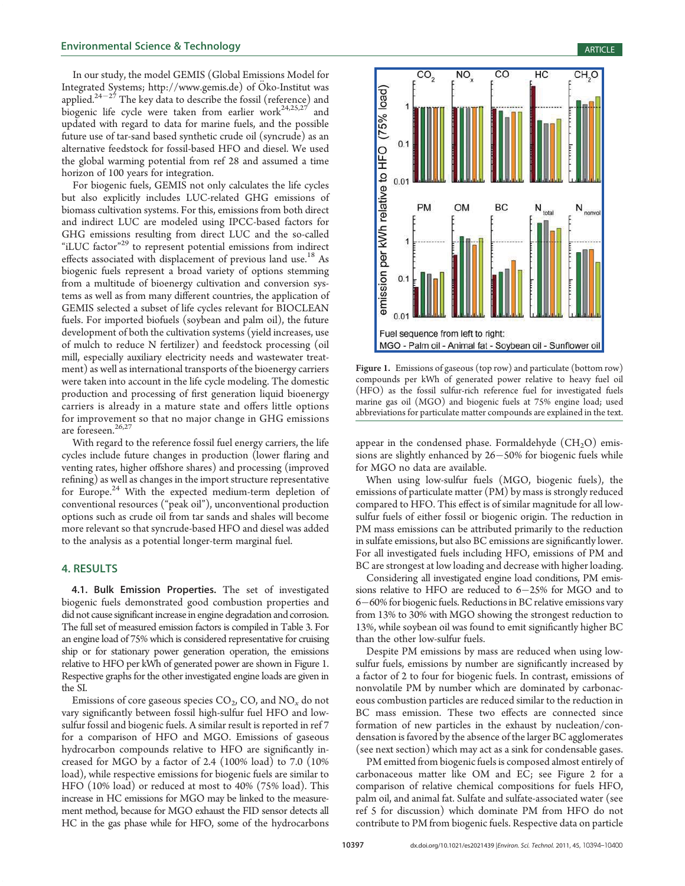In our study, the model GEMIS (Global Emissions Model for Integrated Systems; http://www.gemis.de) of Öko-Institut was applied. $2^{4-27}$  The key data to describe the fossil (reference) and biogenic life cycle were taken from earlier work<sup>24,25,27</sup> and updated with regard to data for marine fuels, and the possible future use of tar-sand based synthetic crude oil (syncrude) as an alternative feedstock for fossil-based HFO and diesel. We used the global warming potential from ref 28 and assumed a time horizon of 100 years for integration.

For biogenic fuels, GEMIS not only calculates the life cycles but also explicitly includes LUC-related GHG emissions of biomass cultivation systems. For this, emissions from both direct and indirect LUC are modeled using IPCC-based factors for GHG emissions resulting from direct LUC and the so-called "iLUC factor"<sup>29</sup> to represent potential emissions from indirect effects associated with displacement of previous land use.<sup>18</sup> As biogenic fuels represent a broad variety of options stemming from a multitude of bioenergy cultivation and conversion systems as well as from many different countries, the application of GEMIS selected a subset of life cycles relevant for BIOCLEAN fuels. For imported biofuels (soybean and palm oil), the future development of both the cultivation systems (yield increases, use of mulch to reduce N fertilizer) and feedstock processing (oil mill, especially auxiliary electricity needs and wastewater treatment) as well as international transports of the bioenergy carriers were taken into account in the life cycle modeling. The domestic production and processing of first generation liquid bioenergy carriers is already in a mature state and offers little options for improvement so that no major change in GHG emissions are foreseen.<sup>26,27</sup>

With regard to the reference fossil fuel energy carriers, the life cycles include future changes in production (lower flaring and venting rates, higher offshore shares) and processing (improved refining) as well as changes in the import structure representative for Europe.<sup>24</sup> With the expected medium-term depletion of conventional resources ("peak oil"), unconventional production options such as crude oil from tar sands and shales will become more relevant so that syncrude-based HFO and diesel was added to the analysis as a potential longer-term marginal fuel.

#### 4. RESULTS

4.1. Bulk Emission Properties. The set of investigated biogenic fuels demonstrated good combustion properties and did not cause significant increase in engine degradation and corrosion. The full set of measured emission factors is compiled in Table 3. For an engine load of 75% which is considered representative for cruising ship or for stationary power generation operation, the emissions relative to HFO per kWh of generated power are shown in Figure 1. Respective graphs for the other investigated engine loads are given in the SI.

Emissions of core gaseous species  $CO<sub>2</sub>$ , CO, and  $NO<sub>x</sub>$  do not vary significantly between fossil high-sulfur fuel HFO and lowsulfur fossil and biogenic fuels. A similar result is reported in ref 7 for a comparison of HFO and MGO. Emissions of gaseous hydrocarbon compounds relative to HFO are significantly increased for MGO by a factor of 2.4 (100% load) to 7.0 (10% load), while respective emissions for biogenic fuels are similar to HFO (10% load) or reduced at most to 40% (75% load). This increase in HC emissions for MGO may be linked to the measurement method, because for MGO exhaust the FID sensor detects all HC in the gas phase while for HFO, some of the hydrocarbons



Figure 1. Emissions of gaseous (top row) and particulate (bottom row) compounds per kWh of generated power relative to heavy fuel oil (HFO) as the fossil sulfur-rich reference fuel for investigated fuels marine gas oil (MGO) and biogenic fuels at 75% engine load; used abbreviations for particulate matter compounds are explained in the text.

appear in the condensed phase. Formaldehyde  $(CH_2O)$  emissions are slightly enhanced by 26-50% for biogenic fuels while for MGO no data are available.

When using low-sulfur fuels (MGO, biogenic fuels), the emissions of particulate matter (PM) by mass is strongly reduced compared to HFO. This effect is of similar magnitude for all lowsulfur fuels of either fossil or biogenic origin. The reduction in PM mass emissions can be attributed primarily to the reduction in sulfate emissions, but also BC emissions are significantly lower. For all investigated fuels including HFO, emissions of PM and BC are strongest at low loading and decrease with higher loading.

Considering all investigated engine load conditions, PM emissions relative to HFO are reduced to 6-25% for MGO and to 6-60% for biogenic fuels. Reductions in BC relative emissions vary from 13% to 30% with MGO showing the strongest reduction to 13%, while soybean oil was found to emit significantly higher BC than the other low-sulfur fuels.

Despite PM emissions by mass are reduced when using lowsulfur fuels, emissions by number are significantly increased by a factor of 2 to four for biogenic fuels. In contrast, emissions of nonvolatile PM by number which are dominated by carbonaceous combustion particles are reduced similar to the reduction in BC mass emission. These two effects are connected since formation of new particles in the exhaust by nucleation/condensation is favored by the absence of the larger BC agglomerates (see next section) which may act as a sink for condensable gases.

PM emitted from biogenic fuels is composed almost entirely of carbonaceous matter like OM and EC; see Figure 2 for a comparison of relative chemical compositions for fuels HFO, palm oil, and animal fat. Sulfate and sulfate-associated water (see ref 5 for discussion) which dominate PM from HFO do not contribute to PM from biogenic fuels. Respective data on particle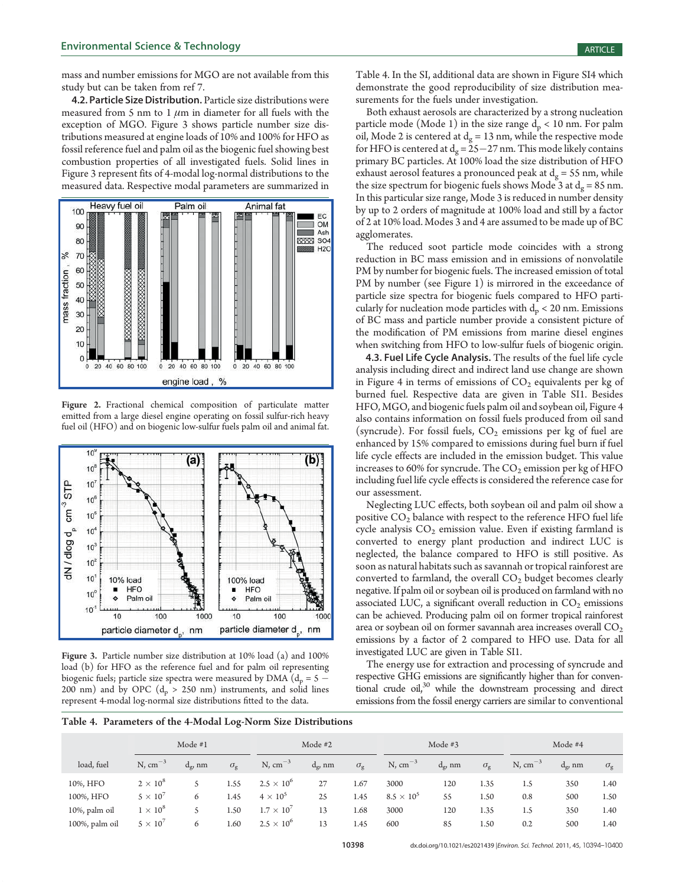mass and number emissions for MGO are not available from this study but can be taken from ref 7.

4.2. Particle Size Distribution. Particle size distributions were measured from 5 nm to 1  $\mu$ m in diameter for all fuels with the exception of MGO. Figure 3 shows particle number size distributions measured at engine loads of 10% and 100% for HFO as fossil reference fuel and palm oil as the biogenic fuel showing best combustion properties of all investigated fuels. Solid lines in Figure 3 represent fits of 4-modal log-normal distributions to the measured data. Respective modal parameters are summarized in



Figure 2. Fractional chemical composition of particulate matter emitted from a large diesel engine operating on fossil sulfur-rich heavy fuel oil (HFO) and on biogenic low-sulfur fuels palm oil and animal fat.



Figure 3. Particle number size distribution at 10% load (a) and 100% load (b) for HFO as the reference fuel and for palm oil representing biogenic fuels; particle size spectra were measured by DMA ( $d_p = 5 -$ 200 nm) and by OPC  $(d_p > 250 \text{ nm})$  instruments, and solid lines represent 4-modal log-normal size distributions fitted to the data.

Table 4. In the SI, additional data are shown in Figure SI4 which demonstrate the good reproducibility of size distribution measurements for the fuels under investigation.

Both exhaust aerosols are characterized by a strong nucleation particle mode (Mode 1) in the size range  $d_p < 10$  nm. For palm oil, Mode 2 is centered at  $d_g = 13$  nm, while the respective mode for HFO is centered at  $d_g = 25 - 27$  nm. This mode likely contains primary BC particles. At 100% load the size distribution of HFO exhaust aerosol features a pronounced peak at  $d_{\sigma} = 55$  nm, while the size spectrum for biogenic fuels shows Mode 3 at  $d_{\sigma} = 85$  nm. In this particular size range, Mode 3 is reduced in number density by up to 2 orders of magnitude at 100% load and still by a factor of 2 at 10% load. Modes 3 and 4 are assumed to be made up of BC agglomerates.

The reduced soot particle mode coincides with a strong reduction in BC mass emission and in emissions of nonvolatile PM by number for biogenic fuels. The increased emission of total PM by number (see Figure 1) is mirrored in the exceedance of particle size spectra for biogenic fuels compared to HFO particularly for nucleation mode particles with  $d_p < 20$  nm. Emissions of BC mass and particle number provide a consistent picture of the modification of PM emissions from marine diesel engines when switching from HFO to low-sulfur fuels of biogenic origin.

4.3. Fuel Life Cycle Analysis. The results of the fuel life cycle analysis including direct and indirect land use change are shown in Figure 4 in terms of emissions of  $CO<sub>2</sub>$  equivalents per kg of burned fuel. Respective data are given in Table SI1. Besides HFO, MGO, and biogenic fuels palm oil and soybean oil, Figure 4 also contains information on fossil fuels produced from oil sand (syncrude). For fossil fuels,  $CO<sub>2</sub>$  emissions per kg of fuel are enhanced by 15% compared to emissions during fuel burn if fuel life cycle effects are included in the emission budget. This value increases to 60% for syncrude. The  $CO<sub>2</sub>$  emission per kg of HFO including fuel life cycle effects is considered the reference case for our assessment.

Neglecting LUC effects, both soybean oil and palm oil show a positive  $CO<sub>2</sub>$  balance with respect to the reference HFO fuel life cycle analysis  $CO<sub>2</sub>$  emission value. Even if existing farmland is converted to energy plant production and indirect LUC is neglected, the balance compared to HFO is still positive. As soon as natural habitats such as savannah or tropical rainforest are converted to farmland, the overall  $CO<sub>2</sub>$  budget becomes clearly negative. If palm oil or soybean oil is produced on farmland with no associated LUC, a significant overall reduction in  $CO<sub>2</sub>$  emissions can be achieved. Producing palm oil on former tropical rainforest area or soybean oil on former savannah area increases overall  $CO<sub>2</sub>$ emissions by a factor of 2 compared to HFO use. Data for all investigated LUC are given in Table SI1.

The energy use for extraction and processing of syncrude and respective GHG emissions are significantly higher than for conventional crude oil,<sup>30</sup> while the downstream processing and direct emissions from the fossil energy carriers are similar to conventional

Table 4. Parameters of the 4-Modal Log-Norm Size Distributions

|                | Mode $#1$         |                   |                  |                     | Mode $#2$        |                  |                   | Mode $#3$  |                  |              | Mode #4         |                  |  |
|----------------|-------------------|-------------------|------------------|---------------------|------------------|------------------|-------------------|------------|------------------|--------------|-----------------|------------------|--|
| load, fuel     | $N, cm^{-3}$      | $d_{\sigma}$ , nm | $\sigma_{\rm g}$ | $N, cm^{-3}$        | $d_{\varrho}$ nm | $\sigma_{\rm g}$ | $N, cm^{-3}$      | $d_g$ , nm | $\sigma_{\rm g}$ | $N, cm^{-3}$ | $d_{\sigma}$ nm | $\sigma_{\rm o}$ |  |
| 10%, HFO       | $2 \times 10^8$   |                   | 1.55             | $2.5 \times 10^{6}$ | 27               | 1.67             | 3000              | 120        | 1.35             | 1.5          | 350             | 1.40             |  |
| 100%, HFO      | $5 \times 10^{7}$ | 6                 | 1.45             | $4 \times 10^5$     | 25               | 1.45             | $8.5 \times 10^5$ | 55         | 1.50             | 0.8          | 500             | 1.50             |  |
| 10%, palm oil  | $1 \times 10^8$   |                   | 1.50             | $1.7 \times 10^{7}$ | 13               | 1.68             | 3000              | 120        | 1.35             | 1.5          | 350             | 1.40             |  |
| 100%, palm oil | $5 \times 10^{7}$ | 6                 | 1.60             | $2.5 \times 10^{6}$ | 13               | 1.45             | 600               | 85         | 1.50             | 0.2          | 500             | 1.40             |  |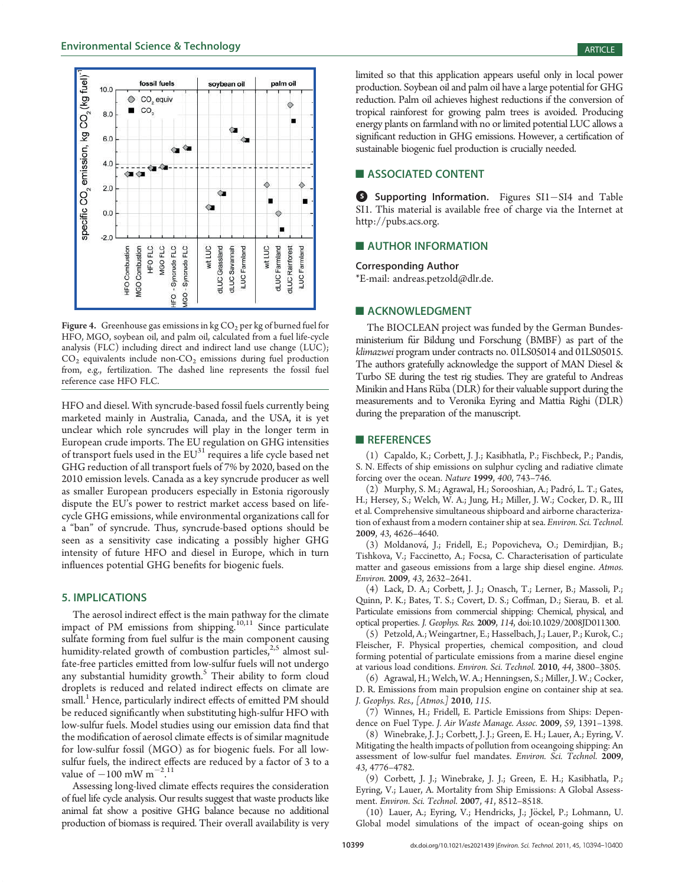

Figure 4. Greenhouse gas emissions in kg  $CO<sub>2</sub>$  per kg of burned fuel for HFO, MGO, soybean oil, and palm oil, calculated from a fuel life-cycle analysis (FLC) including direct and indirect land use change (LUC);  $CO<sub>2</sub>$  equivalents include non- $CO<sub>2</sub>$  emissions during fuel production from, e.g., fertilization. The dashed line represents the fossil fuel reference case HFO FLC.

HFO and diesel. With syncrude-based fossil fuels currently being marketed mainly in Australia, Canada, and the USA, it is yet unclear which role syncrudes will play in the longer term in European crude imports. The EU regulation on GHG intensities of transport fuels used in the  $EU^{31}$  requires a life cycle based net GHG reduction of all transport fuels of 7% by 2020, based on the 2010 emission levels. Canada as a key syncrude producer as well as smaller European producers especially in Estonia rigorously dispute the EU's power to restrict market access based on lifecycle GHG emissions, while environmental organizations call for a "ban" of syncrude. Thus, syncrude-based options should be seen as a sensitivity case indicating a possibly higher GHG intensity of future HFO and diesel in Europe, which in turn influences potential GHG benefits for biogenic fuels.

# 5. IMPLICATIONS

The aerosol indirect effect is the main pathway for the climate impact of PM emissions from shipping.<sup>10,11</sup> Since particulate sulfate forming from fuel sulfur is the main component causing humidity-related growth of combustion particles, $2.5$  almost sulfate-free particles emitted from low-sulfur fuels will not undergo any substantial humidity growth.<sup>5</sup> Their ability to form cloud droplets is reduced and related indirect effects on climate are small.<sup>1</sup> Hence, particularly indirect effects of emitted PM should be reduced significantly when substituting high-sulfur HFO with low-sulfur fuels. Model studies using our emission data find that the modification of aerosol climate effects is of similar magnitude for low-sulfur fossil (MGO) as for biogenic fuels. For all lowsulfur fuels, the indirect effects are reduced by a factor of 3 to a value of  $-100 \text{ mW m}^{-2.11}$ .

Assessing long-lived climate effects requires the consideration of fuel life cycle analysis. Our results suggest that waste products like animal fat show a positive GHG balance because no additional production of biomass is required. Their overall availability is very

limited so that this application appears useful only in local power production. Soybean oil and palm oil have a large potential for GHG reduction. Palm oil achieves highest reductions if the conversion of tropical rainforest for growing palm trees is avoided. Producing energy plants on farmland with no or limited potential LUC allows a significant reduction in GHG emissions. However, a certification of sustainable biogenic fuel production is crucially needed.

# **ASSOCIATED CONTENT**

Supporting Information. Figures SI1-SI4 and Table SI1. This material is available free of charge via the Internet at http://pubs.acs.org.

# **AUTHOR INFORMATION**

Corresponding Author \*E-mail: andreas.petzold@dlr.de.

#### **ACKNOWLEDGMENT**

The BIOCLEAN project was funded by the German Bundesministerium für Bildung und Forschung (BMBF) as part of the klimazwei program under contracts no. 01LS05014 and 01LS05015. The authors gratefully acknowledge the support of MAN Diesel & Turbo SE during the test rig studies. They are grateful to Andreas Minikin and Hans Rüba (DLR) for their valuable support during the measurements and to Veronika Eyring and Mattia Righi (DLR) during the preparation of the manuscript.

# **REFERENCES**

(1) Capaldo, K.; Corbett, J. J.; Kasibhatla, P.; Fischbeck, P.; Pandis, S. N. Effects of ship emissions on sulphur cycling and radiative climate forcing over the ocean. Nature 1999, 400, 743–746.

(2) Murphy, S. M.; Agrawal, H.; Sorooshian, A.; Padró, L. T.; Gates, H.; Hersey, S.; Welch, W. A.; Jung, H.; Miller, J. W.; Cocker, D. R., III et al. Comprehensive simultaneous shipboard and airborne characterization of exhaust from a modern container ship at sea. Environ. Sci. Technol. 2009, 43, 4626–4640.

(3) Moldanová, J.; Fridell, E.; Popovicheva, O.; Demirdjian, B.; Tishkova, V.; Faccinetto, A.; Focsa, C. Characterisation of particulate matter and gaseous emissions from a large ship diesel engine. Atmos. Environ. 2009, 43, 2632–2641.

(4) Lack, D. A.; Corbett, J. J.; Onasch, T.; Lerner, B.; Massoli, P.; Quinn, P. K.; Bates, T. S.; Covert, D. S.; Coffman, D.; Sierau, B. et al. Particulate emissions from commercial shipping: Chemical, physical, and optical properties. J. Geophys. Res. 2009, 114, doi:10.1029/2008JD011300.

(5) Petzold, A.; Weingartner, E.; Hasselbach, J.; Lauer, P.; Kurok, C.; Fleischer, F. Physical properties, chemical composition, and cloud forming potential of particulate emissions from a marine diesel engine at various load conditions. Environ. Sci. Technol. 2010, 44, 3800–3805.

(6) Agrawal, H.; Welch, W. A.; Henningsen, S.; Miller, J. W.; Cocker, D. R. Emissions from main propulsion engine on container ship at sea. J. Geophys. Res., [Atmos.] 2010, 115.

(7) Winnes, H.; Fridell, E. Particle Emissions from Ships: Dependence on Fuel Type. J. Air Waste Manage. Assoc. 2009, 59, 1391–1398.

(8) Winebrake, J. J.; Corbett, J. J.; Green, E. H.; Lauer, A.; Eyring, V. Mitigating the health impacts of pollution from oceangoing shipping: An assessment of low-sulfur fuel mandates. Environ. Sci. Technol. 2009, 43, 4776–4782.

(9) Corbett, J. J.; Winebrake, J. J.; Green, E. H.; Kasibhatla, P.; Eyring, V.; Lauer, A. Mortality from Ship Emissions: A Global Assessment. Environ. Sci. Technol. 2007, 41, 8512–8518.

(10) Lauer, A.; Eyring, V.; Hendricks, J.; Jöckel, P.; Lohmann, U. Global model simulations of the impact of ocean-going ships on